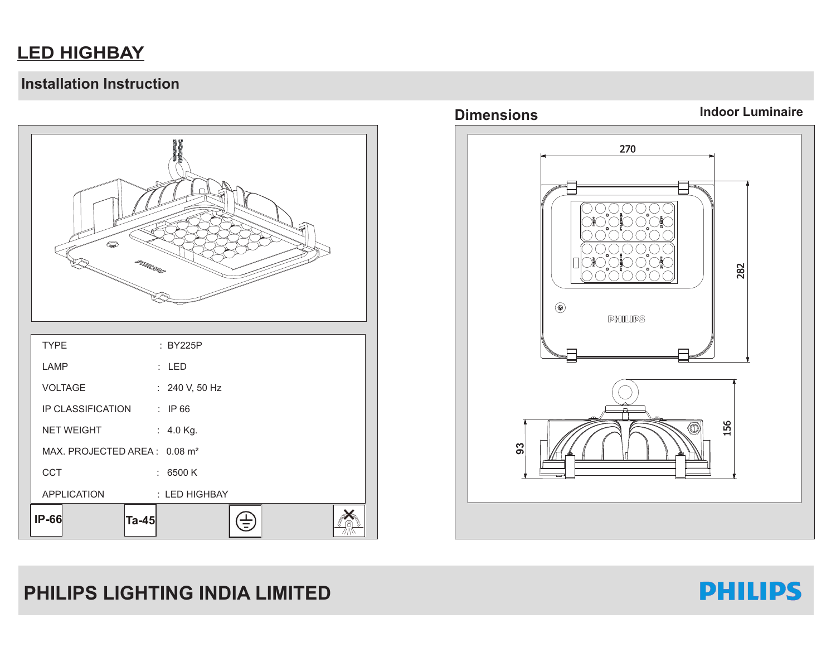### **LED HIGHBAY**

#### **Installation Instruction**





# **PHILIPS LIGHTING INDIA LIMITED**